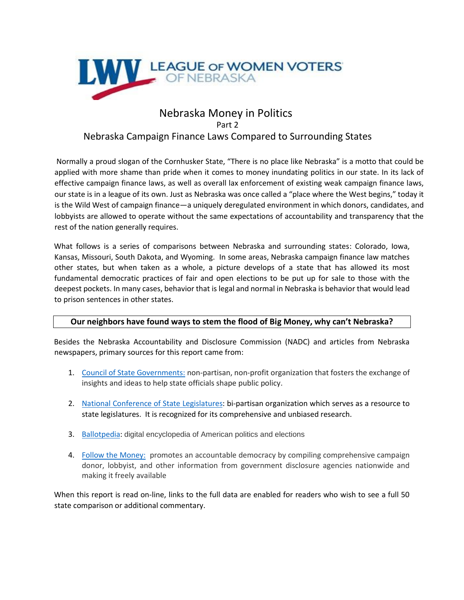

# Nebraska Money in Politics Part 2 Nebraska Campaign Finance Laws Compared to Surrounding States

Normally a proud slogan of the Cornhusker State, "There is no place like Nebraska" is a motto that could be applied with more shame than pride when it comes to money inundating politics in our state. In its lack of effective campaign finance laws, as well as overall lax enforcement of existing weak campaign finance laws, our state is in a league of its own. Just as Nebraska was once called a "place where the West begins," today it is the Wild West of campaign finance—a uniquely deregulated environment in which donors, candidates, and lobbyists are allowed to operate without the same expectations of accountability and transparency that the rest of the nation generally requires.

What follows is a series of comparisons between Nebraska and surrounding states: Colorado, Iowa, Kansas, Missouri, South Dakota, and Wyoming. In some areas, Nebraska campaign finance law matches other states, but when taken as a whole, a picture develops of a state that has allowed its most fundamental democratic practices of fair and open elections to be put up for sale to those with the deepest pockets. In many cases, behavior that is legal and normal in Nebraska is behavior that would lead to prison sentences in other states.

## **Our neighbors have found ways to stem the flood of Big Money, why can't Nebraska?**

Besides the Nebraska Accountability and Disclosure Commission (NADC) and articles from Nebraska newspapers, primary sources for this report came from:

- 1. [Council of State Governments:](https://www.csg.org/) non-partisan, non-profit organization that fosters the exchange of insights and ideas to help state officials shape public policy.
- 2. [National Conference of State Legislatures:](http://www.ncsl.org/aboutus.aspx) bi-partisan organization which serves as a resource to state legislatures. It is recognized for its comprehensive and unbiased research.
- 3. [Ballotpedia:](https://ballotpedia.org/Ballotpedia:About) digital encyclopedia of American politics and elections
- 4. [Follow the Money:](https://www.followthemoney.org/about-us/mission-and-history) promotes an accountable democracy by compiling comprehensive campaign donor, lobbyist, and other information from government disclosure agencies nationwide and making it freely available

When this report is read on-line, links to the full data are enabled for readers who wish to see a full 50 state comparison or additional commentary.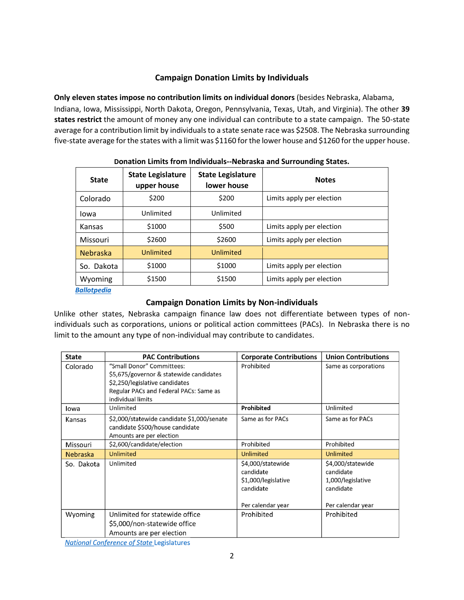## **Campaign Donation Limits by Individuals**

**Only eleven states impose no contribution limits on individual donors** (besides Nebraska, Alabama, Indiana, Iowa, Mississippi, North Dakota, Oregon, Pennsylvania, Texas, Utah, and Virginia). The other **39 states restrict** the amount of money any one individual can contribute to a state campaign. The 50-state average for a contribution limit by individuals to a state senate race was \$2508. The Nebraska surrounding five-state average for the states with a limit was \$1160 for the lower house and \$1260 for the upper house.

| <b>State</b>    | <b>State Legislature</b><br>upper house | <b>State Legislature</b><br>lower house | <b>Notes</b>              |  |
|-----------------|-----------------------------------------|-----------------------------------------|---------------------------|--|
| Colorado        | \$200                                   | \$200                                   | Limits apply per election |  |
| lowa            | Unlimited                               | Unlimited                               |                           |  |
| Kansas          | \$1000                                  | \$500                                   | Limits apply per election |  |
| Missouri        | \$2600                                  | \$2600                                  | Limits apply per election |  |
| <b>Nebraska</b> | Unlimited                               | Unlimited                               |                           |  |
| So. Dakota      | \$1000                                  | \$1000                                  | Limits apply per election |  |
| Wyoming         | \$1500                                  | \$1500                                  | Limits apply per election |  |

**Donation Limits from Individuals--Nebraska and Surrounding States.**

#### *[Ballotpedia](https://ballotpedia.org/State-by-state_comparison_of_campaign_finance_requirements)*

## **Campaign Donation Limits by Non-individuals**

Unlike other states, Nebraska campaign finance law does not differentiate between types of nonindividuals such as corporations, unions or political action committees (PACs). In Nebraska there is no limit to the amount any type of non-individual may contribute to candidates.

| <b>State</b>    | <b>PAC Contributions</b>                                                                                                                                              | <b>Corporate Contributions</b>                                                          | <b>Union Contributions</b>                                                            |
|-----------------|-----------------------------------------------------------------------------------------------------------------------------------------------------------------------|-----------------------------------------------------------------------------------------|---------------------------------------------------------------------------------------|
| Colorado        | "Small Donor" Committees:<br>\$5,675/governor & statewide candidates<br>\$2,250/legislative candidates<br>Regular PACs and Federal PACs: Same as<br>individual limits | Prohibited                                                                              | Same as corporations                                                                  |
| lowa            | Unlimited                                                                                                                                                             | Prohibited                                                                              | Unlimited                                                                             |
| Kansas          | \$2,000/statewide candidate \$1,000/senate<br>candidate \$500/house candidate<br>Amounts are per election                                                             | Same as for PACs                                                                        | Same as for PACs                                                                      |
| Missouri        | \$2,600/candidate/election                                                                                                                                            | Prohibited                                                                              | Prohibited                                                                            |
| <b>Nebraska</b> | <b>Unlimited</b>                                                                                                                                                      | Unlimited                                                                               | <b>Unlimited</b>                                                                      |
| So. Dakota      | Unlimited                                                                                                                                                             | \$4,000/statewide<br>candidate<br>\$1,000/legislative<br>candidate<br>Per calendar year | \$4,000/statewide<br>candidate<br>1,000/legislative<br>candidate<br>Per calendar year |
| Wyoming         | Unlimited for statewide office<br>\$5,000/non-statewide office<br>Amounts are per election                                                                            | Prohibited                                                                              | Prohibited                                                                            |

**National Conference of State Legislatures**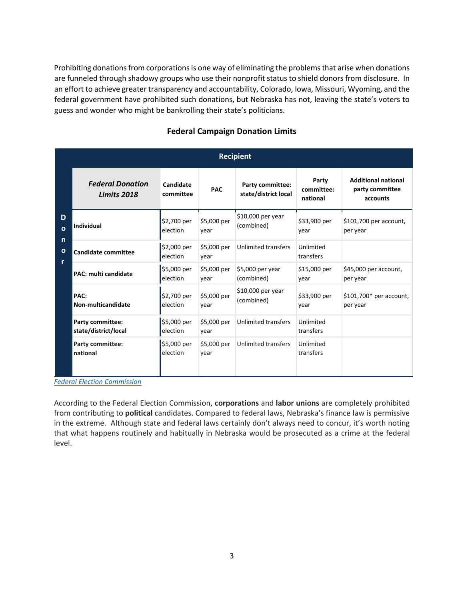Prohibiting donations from corporations is one way of eliminating the problems that arise when donations are funneled through shadowy groups who use their nonprofit status to shield donors from disclosure. In an effort to achieve greater transparency and accountability, Colorado, Iowa, Missouri, Wyoming, and the federal government have prohibited such donations, but Nebraska has not, leaving the state's voters to guess and wonder who might be bankrolling their state's politicians.

|                   |                                                 |                         |                     | <b>Recipient</b>                                |                                 |                                                           |
|-------------------|-------------------------------------------------|-------------------------|---------------------|-------------------------------------------------|---------------------------------|-----------------------------------------------------------|
|                   | <b>Federal Donation</b><br><b>Limits 2018</b>   | Candidate<br>committee  | <b>PAC</b>          | <b>Party committee:</b><br>state/district local | Party<br>committee:<br>national | <b>Additional national</b><br>party committee<br>accounts |
| D<br>$\mathbf{o}$ | <b>Individual</b>                               | \$2,700 per<br>election | \$5,000 per<br>year | \$10,000 per year<br>(combined)                 | \$33,900 per<br>year            | \$101,700 per account,<br>per year                        |
| n<br>O<br>r       | <b>Candidate committee</b>                      | \$2,000 per<br>election | \$5,000 per<br>year | <b>Unlimited transfers</b>                      | Unlimited<br>transfers          |                                                           |
|                   | <b>PAC: multi candidate</b>                     | \$5,000 per<br>election | \$5,000 per<br>year | \$5,000 per year<br>(combined)                  | \$15,000 per<br>year            | \$45,000 per account,<br>per year                         |
|                   | PAC:<br>Non-multicandidate                      | \$2,700 per<br>election | \$5,000 per<br>year | \$10,000 per year<br>(combined)                 | \$33,900 per<br>vear            | \$101,700* per account,<br>per year                       |
|                   | <b>Party committee:</b><br>state/district/local | \$5,000 per<br>election | \$5,000 per<br>year | <b>Unlimited transfers</b>                      | Unlimited<br>transfers          |                                                           |
|                   | <b>Party committee:</b><br>national             | \$5,000 per<br>election | \$5,000 per<br>year | <b>Unlimited transfers</b>                      | Unlimited<br>transfers          |                                                           |

# **Federal Campaign Donation Limits**

*[Federal Election Commission](https://www.fec.gov/help-candidates-and-committees/candidate-taking-receipts/contribution-limits/)*

According to the Federal Election Commission, **corporations** and **labor unions** are completely prohibited from contributing to **political** candidates. Compared to federal laws, Nebraska's finance law is permissive in the extreme. Although state and federal laws certainly don't always need to concur, it's worth noting that what happens routinely and habitually in Nebraska would be prosecuted as a crime at the federal level.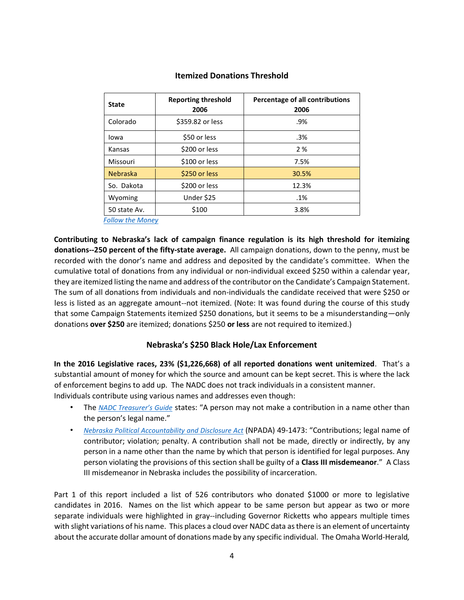| <b>State</b>    | <b>Reporting threshold</b><br>2006 | Percentage of all contributions<br>2006 |
|-----------------|------------------------------------|-----------------------------------------|
| Colorado        | \$359.82 or less                   | .9%                                     |
| lowa            | \$50 or less                       | .3%                                     |
| Kansas          | \$200 or less                      | 2%                                      |
| Missouri        | \$100 or less                      | 7.5%                                    |
| <b>Nebraska</b> | \$250 or less                      | 30.5%                                   |
| So. Dakota      | \$200 or less                      | 12.3%                                   |
| Wyoming         | Under \$25                         | .1%                                     |
| 50 state Av.    | \$100                              | 3.8%                                    |

## **Itemized Donations Threshold**

*[Follow the Money](https://www.followthemoney.org/research/institute-reports/no-small-change)*

**Contributing to Nebraska's lack of campaign finance regulation is its high threshold for itemizing donations--250 percent of the fifty-state average.** All campaign donations, down to the penny, must be recorded with the donor's name and address and deposited by the candidate's committee. When the cumulative total of donations from any individual or non-individual exceed \$250 within a calendar year, they are itemized listing the name and address of the contributor on the Candidate's Campaign Statement. The sum of all donations from individuals and non-individuals the candidate received that were \$250 or less is listed as an aggregate amount--not itemized. (Note: It was found during the course of this study that some Campaign Statements itemized \$250 donations, but it seems to be a misunderstanding—only donations **over \$250** are itemized; donations \$250 **or less** are not required to itemized.)

## **Nebraska's \$250 Black Hole/Lax Enforcement**

**In the 2016 Legislative races, 23% (\$1,226,668) of all reported donations went unitemized**. That's a substantial amount of money for which the source and amount can be kept secret. This is where the lack of enforcement begins to add up. The NADC does not track individuals in a consistent manner. Individuals contribute using various names and addresses even though:

- The *[NADC Treasurer's Guide](http://www.nadc.nebraska.gov/pdf/2016CandidateComTreasGuideDraft31Jul15.pdf)* [s](http://www.nadc.nebraska.gov/pdf/2016CandidateComTreasGuideDraft31Jul15.pdf)tates: "A person may not make a contribution in a name other than the person's legal name."
- *[Nebraska Political Accountability and Disclosure Act](http://www.nadc.nebraska.gov/pdf/political-accountability-disclosure-act.pdf)* [\(](http://www.nadc.nebraska.gov/pdf/political-accountability-disclosure-act.pdf)NPADA) 49-1473: "Contributions; legal name of contributor; violation; penalty. A contribution shall not be made, directly or indirectly, by any person in a name other than the name by which that person is identified for legal purposes. Any person violating the provisions of this section shall be guilty of a **Class III misdemeanor**." A Class III misdemeanor in Nebraska includes the possibility of incarceration.

Part 1 of this report included a list of 526 contributors who donated \$1000 or more to legislative candidates in 2016. Names on the list which appear to be same person but appear as two or more separate individuals were highlighted in gray--including Governor Ricketts who appears multiple times with slight variations of his name. This places a cloud over NADC data as there is an element of uncertainty about the accurate dollar amount of donations made by any specific individual. The Omaha World-Herald*,*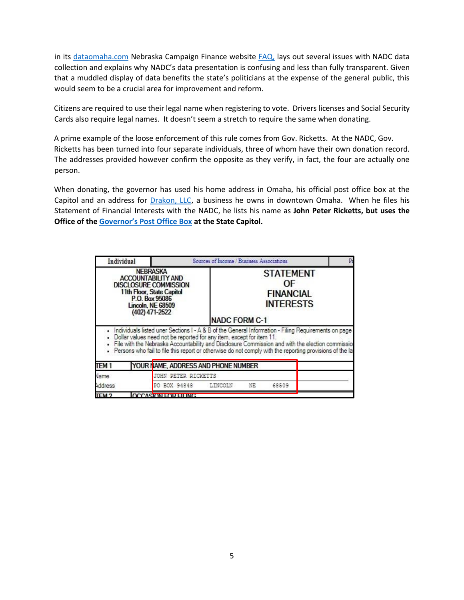in its [dataomaha.com](https://www.dataomaha.com/campaign-finance) Nebraska Campaign Finance website [FAQ,](https://www.dataomaha.com/campaign-finance/about) lays out several issues with NADC data collection and explains why NADC's data presentation is confusing and less than fully transparent. Given that a muddled display of data benefits the state's politicians at the expense of the general public, this would seem to be a crucial area for improvement and reform.

Citizens are required to use their legal name when registering to vote. Drivers licenses and Social Security Cards also require legal names. It doesn't seem a stretch to require the same when donating.

A prime example of the loose enforcement of this rule comes from Gov. Ricketts. At the NADC, Gov. Ricketts has been turned into four separate individuals, three of whom have their own donation record. The addresses provided however confirm the opposite as they verify, in fact, the four are actually one person.

When donating, the governor has used his home address in Omaha, his official post office box at the Capitol and an address for [Drakon, LLC,](https://www.bbb.org/us/ne/omaha/profile/business-promotion/drakon-llc-0714-300104010) a business he owns in downtown Omaha. When he files his Statement of Financial Interests with the NADC, he lists his name as **John Peter Ricketts, but uses the Office of the [Governor's Post Office Box](https://governor.nebraska.gov/contact-governor) at the State Capitol.** 

| <b>NEBRASKA</b><br><b>ACCOUNTABILITY AND</b><br><b>DISCLOSURE COMMISSION</b><br>11th Floor, State Capitol<br>P.O. Box 95086<br><b>Lincoln, NE 68509</b><br>(402) 471-2522 |                                                                                                                                                                                                                                                                                                                                                                                                   | <b>NADC FORM C-1</b>   |  | <b>STATEMENT</b><br>ΩF<br><b>FINANCIAL</b><br><b>INTERESTS</b> |  |
|---------------------------------------------------------------------------------------------------------------------------------------------------------------------------|---------------------------------------------------------------------------------------------------------------------------------------------------------------------------------------------------------------------------------------------------------------------------------------------------------------------------------------------------------------------------------------------------|------------------------|--|----------------------------------------------------------------|--|
|                                                                                                                                                                           | . Individuals listed uner Sections I - A & B of the General Information - Filing Requirements on page<br>. Dollar values need not be reported for any item, except for item 11.<br>File with the Nebraska Accountability and Disclosure Commission and with the election commissior<br>. Persons who fail to file this report or otherwise do not comply with the reporting provisions of the lay |                        |  |                                                                |  |
| TEM <sub>1</sub>                                                                                                                                                          | YOUR I AME, ADDRESS AND PHONE NUMBER                                                                                                                                                                                                                                                                                                                                                              |                        |  |                                                                |  |
| Vame                                                                                                                                                                      | <b>JOHN PETER RICKETTS</b>                                                                                                                                                                                                                                                                                                                                                                        |                        |  |                                                                |  |
| Address<br>PO BOX 94848                                                                                                                                                   |                                                                                                                                                                                                                                                                                                                                                                                                   | LINCOLN<br>NE<br>68509 |  |                                                                |  |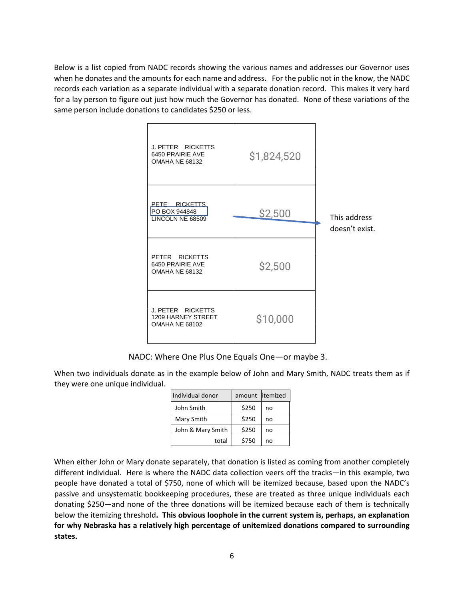Below is a list copied from NADC records showing the various names and addresses our Governor uses when he donates and the amounts for each name and address. For the public not in the know, the NADC records each variation as a separate individual with a separate donation record. This makes it very hard for a lay person to figure out just how much the Governor has donated. None of these variations of the same person include donations to candidates \$250 or less.



NADC: Where One Plus One Equals One—or maybe 3.

When two individuals donate as in the example below of John and Mary Smith, NADC treats them as if they were one unique individual.

| Individual donor  | amount litemized |    |
|-------------------|------------------|----|
| John Smith        | \$250            | no |
| Mary Smith        | \$250            | no |
| John & Mary Smith | \$250            | no |
| total             | \$750            | no |

When either John or Mary donate separately, that donation is listed as coming from another completely different individual. Here is where the NADC data collection veers off the tracks—in this example, two people have donated a total of \$750, none of which will be itemized because, based upon the NADC's passive and unsystematic bookkeeping procedures, these are treated as three unique individuals each donating \$250—and none of the three donations will be itemized because each of them is technically below the itemizing threshold**. This obvious loophole in the current system is, perhaps, an explanation for why Nebraska has a relatively high percentage of unitemized donations compared to surrounding states.**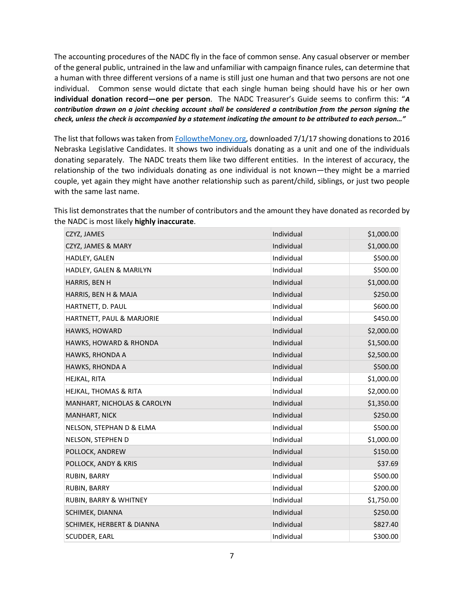The accounting procedures of the NADC fly in the face of common sense. Any casual observer or member of the general public, untrained in the law and unfamiliar with campaign finance rules, can determine that a human with three different versions of a name is still just one human and that two persons are not one individual. Common sense would dictate that each single human being should have his or her own **individual donation record—one per person**. The NADC Treasurer's Guide seems to confirm this: "*A contribution drawn on a joint checking account shall be considered a contribution from the person signing the check, unless the check is accompanied by a statement indicating the amount to be attributed to each person…"* 

The list that follows was taken fro[m](https://www.followthemoney.org/show-me?s=NE&c-exi=1&c-r-ot=S&y=2016#[{1|gro=c-t-id) **FollowtheMoney.org**, downloaded 7/1/17 showing donations to 2016 Nebraska Legislative Candidates. It shows two individuals donating as a unit and one of the individuals donating separately. The NADC treats them like two different entities. In the interest of accuracy, the relationship of the two individuals donating as one individual is not known—they might be a married couple, yet again they might have another relationship such as parent/child, siblings, or just two people with the same last name.

This list demonstrates that the number of contributors and the amount they have donated as recorded by the NADC is most likely **highly inaccurate**.

| CZYZ, JAMES                 | Individual | \$1,000.00 |
|-----------------------------|------------|------------|
| CZYZ, JAMES & MARY          | Individual | \$1,000.00 |
| HADLEY, GALEN               | Individual | \$500.00   |
| HADLEY, GALEN & MARILYN     | Individual | \$500.00   |
| HARRIS, BEN H               | Individual | \$1,000.00 |
| HARRIS, BEN H & MAJA        | Individual | \$250.00   |
| HARTNETT, D. PAUL           | Individual | \$600.00   |
| HARTNETT, PAUL & MARJORIE   | Individual | \$450.00   |
| HAWKS, HOWARD               | Individual | \$2,000.00 |
| HAWKS, HOWARD & RHONDA      | Individual | \$1,500.00 |
| HAWKS, RHONDA A             | Individual | \$2,500.00 |
| HAWKS, RHONDA A             | Individual | \$500.00   |
| HEJKAL, RITA                | Individual | \$1,000.00 |
| HEJKAL, THOMAS & RITA       | Individual | \$2,000.00 |
| MANHART, NICHOLAS & CAROLYN | Individual | \$1,350.00 |
| <b>MANHART, NICK</b>        | Individual | \$250.00   |
| NELSON, STEPHAN D & ELMA    | Individual | \$500.00   |
| NELSON, STEPHEN D           | Individual | \$1,000.00 |
| POLLOCK, ANDREW             | Individual | \$150.00   |
| POLLOCK, ANDY & KRIS        | Individual | \$37.69    |
| RUBIN, BARRY                | Individual | \$500.00   |
| RUBIN, BARRY                | Individual | \$200.00   |
| RUBIN, BARRY & WHITNEY      | Individual | \$1,750.00 |
| SCHIMEK, DIANNA             | Individual | \$250.00   |
| SCHIMEK, HERBERT & DIANNA   | Individual | \$827.40   |
| SCUDDER, EARL               | Individual | \$300.00   |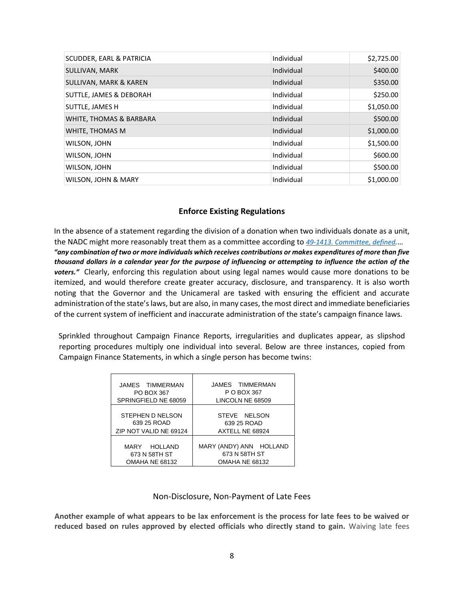| <b>SCUDDER, EARL &amp; PATRICIA</b> | Individual | \$2,725.00 |
|-------------------------------------|------------|------------|
| SULLIVAN, MARK                      | Individual | \$400.00   |
| SULLIVAN, MARK & KAREN              | Individual | \$350.00   |
| SUTTLE, JAMES & DEBORAH             | Individual | \$250.00   |
| SUTTLE, JAMES H                     | Individual | \$1,050.00 |
| WHITE, THOMAS & BARBARA             | Individual | \$500.00   |
| WHITE, THOMAS M                     | Individual | \$1,000.00 |
| WILSON, JOHN                        | Individual | \$1,500.00 |
| WILSON, JOHN                        | Individual | \$600.00   |
| WILSON, JOHN                        | Individual | \$500.00   |
| WILSON, JOHN & MARY                 | Individual | \$1,000.00 |

#### **Enforce Existing Regulations**

In the absence of a statement regarding the division of a donation when two individuals donate as a unit, the NADC might more reasonably treat them as a committee according to *[49-1413. Committee, defined.](http://www.nadc.nebraska.gov/pdf/political-accountability-disclosure-act.pdf)*… *"any combination of two or more individuals which receives contributions or makes expenditures of more than five thousand dollars in a calendar year for the purpose of influencing or attempting to influence the action of the voters."* Clearly, enforcing this regulation about using legal names would cause more donations to be itemized, and would therefore create greater accuracy, disclosure, and transparency. It is also worth noting that the Governor and the Unicameral are tasked with ensuring the efficient and accurate administration of the state's laws, but are also, in many cases, the most direct and immediate beneficiaries of the current system of inefficient and inaccurate administration of the state's campaign finance laws.

Sprinkled throughout Campaign Finance Reports, irregularities and duplicates appear, as slipshod reporting procedures multiply one individual into several. Below are three instances, copied from Campaign Finance Statements, in which a single person has become twins:

| JAMES TIMMERMAN        | JAMES TIMMERMAN         |  |
|------------------------|-------------------------|--|
| PO BOX 367             | P O BOX 367             |  |
| SPRINGFIELD NE 68059   | LINCOLN NE 68509        |  |
| STEPHEN D NELSON       | STEVE NELSON            |  |
| 639 25 ROAD            | 639 25 ROAD             |  |
| ZIP NOT VALID NE 69124 | AXTELL NE 68924         |  |
| MARY HOLLAND           | MARY (ANDY) ANN HOLLAND |  |
| 673 N 58TH ST          | 673 N 58TH ST           |  |
| OMAHA NE 68132         | OMAHA NE 68132          |  |

#### Non-Disclosure, Non-Payment of Late Fees

**Another example of what appears to be lax enforcement is the process for late fees to be waived or reduced based on rules approved by elected officials who directly stand to gain.** Waiving late fees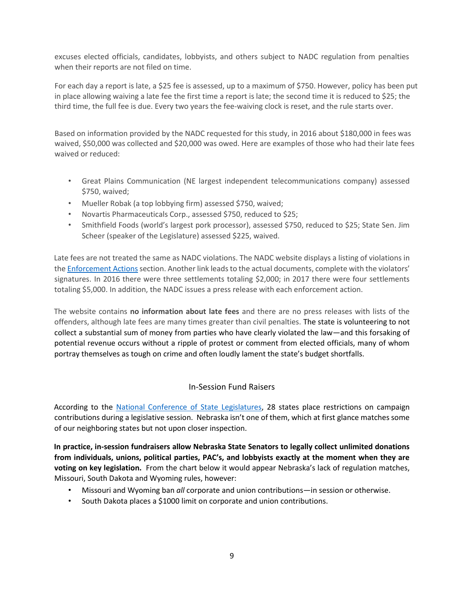excuses elected officials, candidates, lobbyists, and others subject to NADC regulation from penalties when their reports are not filed on time.

For each day a report is late, a \$25 fee is assessed, up to a maximum of \$750. However, policy has been put in place allowing waiving a late fee the first time a report is late; the second time it is reduced to \$25; the third time, the full fee is due. Every two years the fee-waiving clock is reset, and the rule starts over.

Based on information provided by the NADC requested for this study, in 2016 about \$180,000 in fees was waived, \$50,000 was collected and \$20,000 was owed. Here are examples of those who had their late fees waived or reduced:

- Great Plains Communication (NE largest independent telecommunications company) assessed \$750, waived;
- Mueller Robak (a top lobbying firm) assessed \$750, waived;
- Novartis Pharmaceuticals Corp., assessed \$750, reduced to \$25;
- Smithfield Foods (world's largest pork processor), assessed \$750, reduced to \$25; State Sen. Jim Scheer (speaker of the Legislature) assessed \$225, waived.

Late fees are not treated the same as NADC violations. The NADC website displays a listing of violations in the [Enforcement Actions](http://www.nadc.nebraska.gov/en/EnforcementActionsOfTheCommission.html) section. Another link leads to the actual documents, complete with the violators' signatures. In 2016 there were three settlements totaling \$2,000; in 2017 there were four settlements totaling \$5,000. In addition, the NADC issues a press release with each enforcement action.

The website contains **no information about late fees** and there are no press releases with lists of the offenders, although late fees are many times greater than civil penalties. The state is volunteering to not collect a substantial sum of money from parties who have clearly violated the law—and this forsaking of potential revenue occurs without a ripple of protest or comment from elected officials, many of whom portray themselves as tough on crime and often loudly lament the state's budget shortfalls.

## In-Session Fund Raisers

According to the [National Conference of State Legislatures,](http://www.ilga.gov/joint/Documents/Articles%20from%20the%20National%20Conference%20of%20State%20Legislatures%20-%20States%20that%20Prohibit%20Campaign%20Contributions%20During%20Legislative%20Sessions.pdf) 28 states place restrictions on campaign contributions during a legislative session. Nebraska isn't one of them, which at first glance matches some of our neighboring states but not upon closer inspection.

**In practice, in-session fundraisers allow Nebraska State Senators to legally collect unlimited donations from individuals, unions, political parties, PAC's, and lobbyists exactly at the moment when they are voting on key legislation.** From the chart below it would appear Nebraska's lack of regulation matches, Missouri, South Dakota and Wyoming rules, however:

- Missouri and Wyoming ban *all* corporate and union contributions—in session or otherwise.
- South Dakota places a \$1000 limit on corporate and union contributions.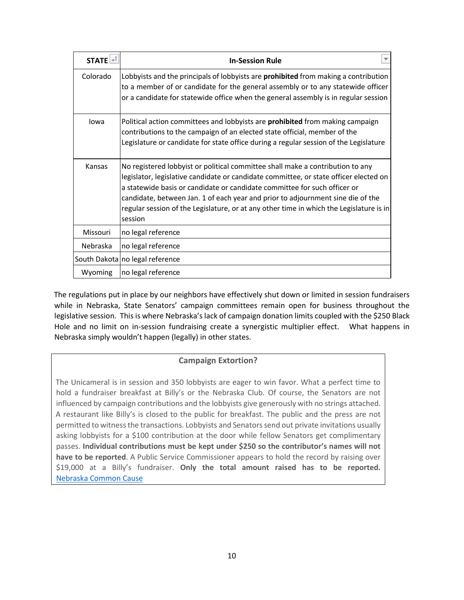| $STATE$ + | <b>In-Session Rule</b>                                                                                                                                                                                                                                                                                                                                                                                                                        |
|-----------|-----------------------------------------------------------------------------------------------------------------------------------------------------------------------------------------------------------------------------------------------------------------------------------------------------------------------------------------------------------------------------------------------------------------------------------------------|
| Colorado  | Lobbyists and the principals of lobbyists are <b>prohibited</b> from making a contribution<br>to a member of or candidate for the general assembly or to any statewide officer<br>or a candidate for statewide office when the general assembly is in regular session                                                                                                                                                                         |
| lowa      | Political action committees and lobbyists are prohibited from making campaign<br>contributions to the campaign of an elected state official, member of the<br>Legislature or candidate for state office during a regular session of the Legislature                                                                                                                                                                                           |
| Kansas    | No registered lobbyist or political committee shall make a contribution to any<br>legislator, legislative candidate or candidate committee, or state officer elected on<br>a statewide basis or candidate or candidate committee for such officer or<br>candidate, between Jan. 1 of each year and prior to adjournment sine die of the<br>regular session of the Legislature, or at any other time in which the Legislature is in<br>session |
| Missouri  | no legal reference                                                                                                                                                                                                                                                                                                                                                                                                                            |
| Nebraska  | no legal reference                                                                                                                                                                                                                                                                                                                                                                                                                            |
|           | South Dakota no legal reference                                                                                                                                                                                                                                                                                                                                                                                                               |
| Wyoming   | no legal reference                                                                                                                                                                                                                                                                                                                                                                                                                            |

The regulations put in place by our neighbors have effectively shut down or limited in session fundraisers while in Nebraska, State Senators' campaign committees remain open for business throughout the legislative session. This is where Nebraska's lack of campaign donation limits coupled with the \$250 Black Hole and no limit on in-session fundraising create a synergistic multiplier effect. What happens in Nebraska simply wouldn't happen (legally) in other states.

## **Campaign Extortion?**

The Unicameral is in session and 350 lobbyists are eager to win favor. What a perfect time to hold a fundraiser breakfast at Billy's or the Nebraska Club. Of course, the Senators are not influenced by campaign contributions and the lobbyists give generously with no strings attached. A restaurant like Billy's is closed to the public for breakfast. The public and the press are not permitted to witness the transactions. Lobbyists and Senators send out private invitations usually asking lobbyists for a \$100 contribution at the door while fellow Senators get complimentary passes. **Individual contributions must be kept under \$250 so the contributor's names will not have to be reported**. A Public Service Commissioner appears to hold the record by raising over \$19,000 at a Billy's fundraiser. **Only the total amount raised has to be reported.**  [Nebraska Common Cause](https://www.commoncause.org/nebraska/press-release/jack-gould-campaign-extortion/)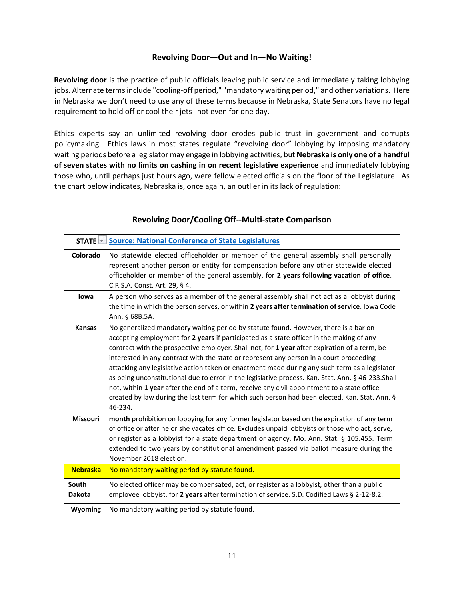#### **Revolving Door—Out and In—No Waiting!**

**Revolving door** is the practice of public officials leaving public service and immediately taking lobbying jobs. Alternate terms include "cooling-off period," "mandatory waiting period," and other variations. Here in Nebraska we don't need to use any of these terms because in Nebraska, State Senators have no legal requirement to hold off or cool their jets--not even for one day.

Ethics experts say an unlimited revolving door erodes public trust in government and corrupts policymaking. Ethics laws in most states regulate "revolving door" lobbying by imposing mandatory waiting periods before a legislator may engage in lobbying activities, but **Nebraska is only one of a handful of seven states with no limits on cashing in on recent legislative experience** and immediately lobbying those who, until perhaps just hours ago, were fellow elected officials on the floor of the Legislature. As the chart below indicates, Nebraska is, once again, an outlier in its lack of regulation:

|                        | <b>STATE + Source: National Conference of State Legislatures</b>                                                                                                                                                                                                                                                                                                                                                                                                                                                                                                                                                                                                                                                                                                                              |
|------------------------|-----------------------------------------------------------------------------------------------------------------------------------------------------------------------------------------------------------------------------------------------------------------------------------------------------------------------------------------------------------------------------------------------------------------------------------------------------------------------------------------------------------------------------------------------------------------------------------------------------------------------------------------------------------------------------------------------------------------------------------------------------------------------------------------------|
| Colorado               | No statewide elected officeholder or member of the general assembly shall personally<br>represent another person or entity for compensation before any other statewide elected<br>officeholder or member of the general assembly, for 2 years following vacation of office.<br>C.R.S.A. Const. Art. 29, § 4.                                                                                                                                                                                                                                                                                                                                                                                                                                                                                  |
| lowa                   | A person who serves as a member of the general assembly shall not act as a lobbyist during<br>the time in which the person serves, or within 2 years after termination of service. lowa Code<br>Ann. § 68B.5A.                                                                                                                                                                                                                                                                                                                                                                                                                                                                                                                                                                                |
| <b>Kansas</b>          | No generalized mandatory waiting period by statute found. However, there is a bar on<br>accepting employment for 2 years if participated as a state officer in the making of any<br>contract with the prospective employer. Shall not, for 1 year after expiration of a term, be<br>interested in any contract with the state or represent any person in a court proceeding<br>attacking any legislative action taken or enactment made during any such term as a legislator<br>as being unconstitutional due to error in the legislative process. Kan. Stat. Ann. § 46-233. Shall<br>not, within 1 year after the end of a term, receive any civil appointment to a state office<br>created by law during the last term for which such person had been elected. Kan. Stat. Ann. §<br>46-234. |
| <b>Missouri</b>        | month prohibition on lobbying for any former legislator based on the expiration of any term<br>of office or after he or she vacates office. Excludes unpaid lobbyists or those who act, serve,<br>or register as a lobbyist for a state department or agency. Mo. Ann. Stat. § 105.455. Term<br>extended to two years by constitutional amendment passed via ballot measure during the<br>November 2018 election.                                                                                                                                                                                                                                                                                                                                                                             |
| <b>Nebraska</b>        | No mandatory waiting period by statute found.                                                                                                                                                                                                                                                                                                                                                                                                                                                                                                                                                                                                                                                                                                                                                 |
| South<br><b>Dakota</b> | No elected officer may be compensated, act, or register as a lobbyist, other than a public<br>employee lobbyist, for 2 years after termination of service. S.D. Codified Laws § 2-12-8.2.                                                                                                                                                                                                                                                                                                                                                                                                                                                                                                                                                                                                     |
| Wyoming                | No mandatory waiting period by statute found.                                                                                                                                                                                                                                                                                                                                                                                                                                                                                                                                                                                                                                                                                                                                                 |

#### **Revolving Door/Cooling Off--Multi-state Comparison**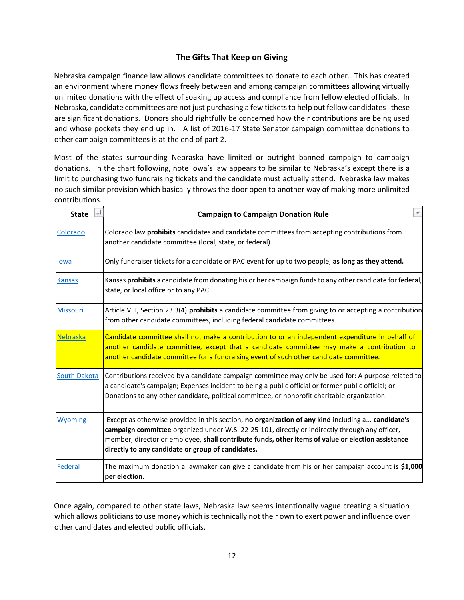# **The Gifts That Keep on Giving**

Nebraska campaign finance law allows candidate committees to donate to each other. This has created an environment where money flows freely between and among campaign committees allowing virtually unlimited donations with the effect of soaking up access and compliance from fellow elected officials. In Nebraska, candidate committees are not just purchasing a few tickets to help out fellow candidates--these are significant donations. Donors should rightfully be concerned how their contributions are being used and whose pockets they end up in. A list of 2016-17 State Senator campaign committee donations to other campaign committees is at the end of part 2.

Most of the states surrounding Nebraska have limited or outright banned campaign to campaign donations. In the chart following, note Iowa's law appears to be similar to Nebraska's except there is a limit to purchasing two fundraising tickets and the candidate must actually attend. Nebraska law makes no such similar provision which basically throws the door open to another way of making more unlimited contributions.

| <b>State</b>        | <b>Campaign to Campaign Donation Rule</b>                                                                                                                                                                                                                                                                                                                     |
|---------------------|---------------------------------------------------------------------------------------------------------------------------------------------------------------------------------------------------------------------------------------------------------------------------------------------------------------------------------------------------------------|
| Colorado            | Colorado law <b>prohibits</b> candidates and candidate committees from accepting contributions from<br>another candidate committee (local, state, or federal).                                                                                                                                                                                                |
| lowa                | Only fundraiser tickets for a candidate or PAC event for up to two people, as long as they attend.                                                                                                                                                                                                                                                            |
| <b>Kansas</b>       | Kansas prohibits a candidate from donating his or her campaign funds to any other candidate for federal,<br>state, or local office or to any PAC.                                                                                                                                                                                                             |
| Missouri            | Article VIII, Section 23.3(4) prohibits a candidate committee from giving to or accepting a contribution<br>from other candidate committees, including federal candidate committees.                                                                                                                                                                          |
| Nebraska            | Candidate committee shall not make a contribution to or an independent expenditure in behalf of<br>another candidate committee, except that a candidate committee may make a contribution to<br>another candidate committee for a fundraising event of such other candidate committee.                                                                        |
| <b>South Dakota</b> | Contributions received by a candidate campaign committee may only be used for: A purpose related to<br>a candidate's campaign; Expenses incident to being a public official or former public official; or<br>Donations to any other candidate, political committee, or nonprofit charitable organization.                                                     |
| <b>Wyoming</b>      | Except as otherwise provided in this section, no organization of any kind including a candidate's<br>campaign committee organized under W.S. 22-25-101, directly or indirectly through any officer,<br>member, director or employee, shall contribute funds, other items of value or election assistance<br>directly to any candidate or group of candidates. |
| Federal             | The maximum donation a lawmaker can give a candidate from his or her campaign account is \$1,000<br>per election.                                                                                                                                                                                                                                             |

Once again, compared to other state laws, Nebraska law seems intentionally vague creating a situation which allows politicians to use money which is technically not their own to exert power and influence over other candidates and elected public officials.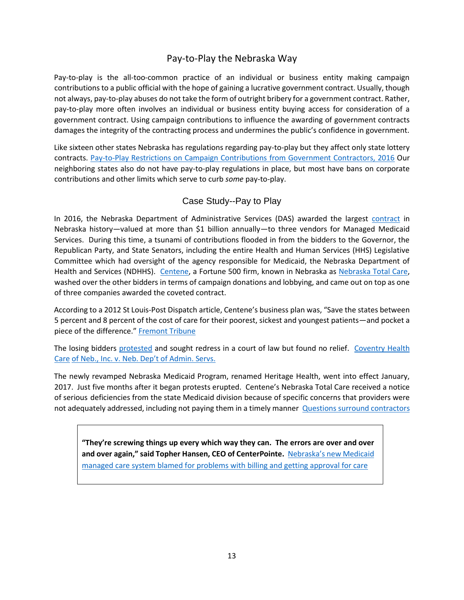# Pay-to-Play the Nebraska Way

Pay-to-play is the all-too-common practice of an individual or business entity making campaign contributions to a public official with the hope of gaining a lucrative government contract. Usually, though not always, pay-to-play abuses do not take the form of outright bribery for a government contract. Rather, pay-to-play more often involves an individual or business entity buying access for consideration of a government contract. Using campaign contributions to influence the awarding of government contracts damages the integrity of the contracting process and undermines the public's confidence in government.

Like sixteen other states Nebraska has regulations regarding pay-to-play but they affect only state lottery contracts. [Pay-to-P](https://www.citizen.org/sites/default/files/pay-to-play_state_summary_report.pdf)lay [Restrictions on Campaign Contributions from Government Contractors, 2016](https://www.citizen.org/sites/default/files/pay-to-play_state_summary_report.pdf) [O](https://www.citizen.org/sites/default/files/pay-to-play_state_summary_report.pdf)ur neighboring states also do not have pay-to-play regulations in place, but most have bans on corporate contributions and other limits which serve to curb *some* pay-to-play.

# Case Study--Pay to Play

In 2016, [t](http://das.nebraska.gov/materiel/purchasing/contracts/pdfs/71165(o4)awd.pdf)he Nebraska Department of Administrative Services (DAS) awarded the largest [contract](http://das.nebraska.gov/materiel/purchasing/contracts/pdfs/71165(o4)awd.pdf) [i](http://das.nebraska.gov/materiel/purchasing/contracts/pdfs/71165(o4)awd.pdf)n Nebraska history—valued at more than \$1 billion annually—to three vendors for Managed Medicaid Services. During this time, a tsunami of contributions flooded in from the bidders to the Governor, the Republican Party, and State Senators, including the entire Health and Human Services (HHS) Legislative Committee which had oversight of the agency responsible for Medicaid, the Nebraska Department of Health and Services (NDHHS). [Centene,](https://www.centene.com/products-and-services/state-and-national-solutions/medicaid.html) a Fortune 500 firm, known in Nebraska as [Nebraska Total Care,](https://www.nebraskatotalcare.com/) washed over the other bidders in terms of campaign donations and lobbying, and came out on top as one of three companies awarded the coveted contract.

According to a 2012 St Louis-Post Dispatch article, Centene's business plan was, "Save the states between 5 percent and 8 percent of the cost of care for their poorest, sickest and youngest patients—and pocket a piece of the difference.["](https://fremonttribune.com/news/local/govt-and-politics/questions-surround-contractors/article_69c5b8eb-6f26-5741-910d-a04f5bb35aa0.html) [Fremont Tribune](https://fremonttribune.com/news/local/govt-and-politics/questions-surround-contractors/article_69c5b8eb-6f26-5741-910d-a04f5bb35aa0.html)

The lo[s](http://das.nebraska.gov/materiel/purchasing/5151/Aetna%20Protest%203-21-2016.pdf)ing bidders [protested](http://das.nebraska.gov/materiel/purchasing/5151/Aetna%20Protest%203-21-2016.pdf) and sought redress in a court of law but found no relief. Coventry Health [Care](https://casetext.com/case/coventry-health-care-of-neb-inc-v-neb-dept-of-admin-servs-1) [of Neb., Inc. v. Neb. Dep't of Admin. Servs.](https://casetext.com/case/coventry-health-care-of-neb-inc-v-neb-dept-of-admin-servs-1)

The newly revamped Nebraska Medicaid Program, renamed Heritage Health, went into effect January, 2017. Just five months after it began protests erupted. Centene's Nebraska Total Care received a notice of serious deficiencies from the state Medicaid division because of specific concerns that providers were not adequately addressed, including not paying them in a timely manner **[Questions surround contractors](https://fremonttribune.com/news/local/govt-and-politics/questions-surround-contractors/article_69c5b8eb-6f26-5741-910d-a04f5bb35aa0.html)** 

**"They're screwing things up every which way they can. The errors are over and over and over again," said Topher Hansen, CEO of CenterPointe[.](https://www.omaha.com/livewellnebraska/health/nebraska-s-new-medicaid-managed-care-system-blamed-for-problems/article_77b8ccea-651c-55dc-a35b-ec3b6d2a3ad0.html)** [Nebraska's new Medicaid](https://www.omaha.com/livewellnebraska/health/nebraska-s-new-medicaid-managed-care-system-blamed-for-problems/article_77b8ccea-651c-55dc-a35b-ec3b6d2a3ad0.html) [managed care system blamed for problems with billing and getting approval for care](https://www.omaha.com/livewellnebraska/health/nebraska-s-new-medicaid-managed-care-system-blamed-for-problems/article_77b8ccea-651c-55dc-a35b-ec3b6d2a3ad0.html)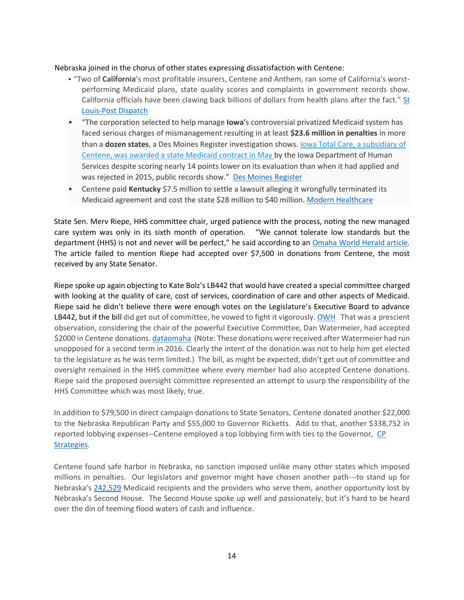#### Nebraska joined in the chorus of other states expressing dissatisfaction with Centene:

- "Two of **California**'s most profitable insurers, Centene and Anthem, ran some of California's worstperforming Medicaid plans, state quality scores and complaints in government records show. California officials have been clawing back billions of dollars from health plans after the fact.["](https://www.stltoday.com/news/local/state-and-regional/states-funnel-billions-to-medicaid-insurers-like-centene-but-who/article_d7f7fe5c-2bb1-5f4c-9ac2-e40e87879459.html)  $St$ [Louis-Post Dispatch](https://www.stltoday.com/news/local/state-and-regional/states-funnel-billions-to-medicaid-insurers-like-centene-but-who/article_d7f7fe5c-2bb1-5f4c-9ac2-e40e87879459.html)
- "The corporation selected to help manage **Iowa'**s controversial privatized Medicaid system has faced serious charges of mismanagement resulting in at least **\$23.6 million in penalties** in more than a **dozen states**, a Des Moines Register investigation shows. [Iowa Total Care, a subsidiary of](https://www.desmoinesregister.com/story/news/health/2018/05/21/centene-replace-amerihealth-iowa-medicaid-manager/630758002/) [Centene, was awarded a state Medicaid contract in May](https://www.desmoinesregister.com/story/news/health/2018/05/21/centene-replace-amerihealth-iowa-medicaid-manager/630758002/) [by](https://www.desmoinesregister.com/story/news/health/2018/05/21/centene-replace-amerihealth-iowa-medicaid-manager/630758002/) the Iowa Department of Human Services despite scoring nearly 14 points lower on its evaluation than when it had applied and was rejected in 2015, public records show." [Des Moines Register](https://www.desmoinesregister.com/story/news/investigations/2018/07/01/iowa-new-private-medicaid-company-troubled-past-centene-millions-dollars-penalties/637740002/)
- Centene paid Kentucky \$7.5 million to settle a lawsuit alleging it wrongfully terminated its Medicaid agreement and cost the state \$28 million to \$40 million[.](https://www.modernhealthcare.com/article/20161104/NEWS/161109948/centene-and-kentucky-settle-medicaid-managed-care-contract-spat) [Modern Healthcare](https://www.modernhealthcare.com/article/20161104/NEWS/161109948/centene-and-kentucky-settle-medicaid-managed-care-contract-spat)

State Sen. Merv Riepe, HHS committee chair, urged patience with the process, noting the new managed care system was only in its sixth month of operation. "We cannot tolerate low standards but the department (HHS) is not and never will be perfect," he said according to a[n](https://www.omaha.com/livewellnebraska/consumer/one-of-three-companies-managing-medicaid-in-nebraska-faces-sanctions/article_02ddd0c9-7fa0-5b61-8446-4a049a4eed33.html) [Omaha World Herald article](https://www.omaha.com/livewellnebraska/consumer/one-of-three-companies-managing-medicaid-in-nebraska-faces-sanctions/article_02ddd0c9-7fa0-5b61-8446-4a049a4eed33.html)*.* The article failed to mention Riepe had accepted over \$7,500 in donations from Centene, the most received by any State Senator.

Riepe spoke up again objecting to Kate Bolz's LB442 that would have created a special committee charged with looking at the quality of care, cost of services, coordination of care and other aspects of Medicaid. Riepe said he didn't believe there were enough votes on the Legislature's Executive Board to advance LB442, but if the bill did get out of committee, he vowed to fight it vigorousl[y. OWH](https://www.omaha.com/livewellnebraska/effort-to-create-special-panel-to-oversee-nebraska-s-new/article_4bf1ca75-3247-54cf-a883-941fccef1b43.html) That was a prescient observation, considering the chair of the powerful Executive Committee, Dan Watermeier, had accepted \$2000 in Centene donations[. dataomaha](https://www.dataomaha.com/campaign-finance/16CUA08808/centene-management-company-llc) (Note: These donations were received after Watermeier had run unopposed for a second term in 2016. Clearly the intent of the donation was not to help him get elected to the legislature as he was term limited.) The bill, as might be expected, didn't get out of committee and oversight remained in the HHS committee where every member had also accepted Centene donations. Riepe said the proposed oversight committee represented an attempt to usurp the responsibility of the HHS Committee which was most likely, true.

In addition to \$79,500 in direct campaign donations to State Senators, Centene donated another \$22,000 to the Nebraska Republican Party and \$55,000 to Governor Ricketts. Add to that, another \$338,752 in reported lobbying expenses--Centene employed a top lobbying firm with ties to the Governor, [CP](http://www.pacesage.com/chris-peterson/) [Strategies.](http://www.pacesage.com/chris-peterson/) 

Centene found safe harbor in Nebraska, no sanction imposed unlike many other states which imposed millions in penalties. Our legislators and governor might have chosen another path---to stand up for Nebraska's [242,529](https://www.kff.org/health-reform/state-indicator/total-monthly-medicaid-and-chip-enrollment/?currentTimeframe=0&sortModel=%7B%22colId%22:%22Location%22,%22sort%22:%22asc%22%7D) Medicaid recipients and the providers who serve them, another opportunity lost by Nebraska's Second House. The Second House spoke up well and passionately, but it's hard to be heard over the din of teeming flood waters of cash and influence.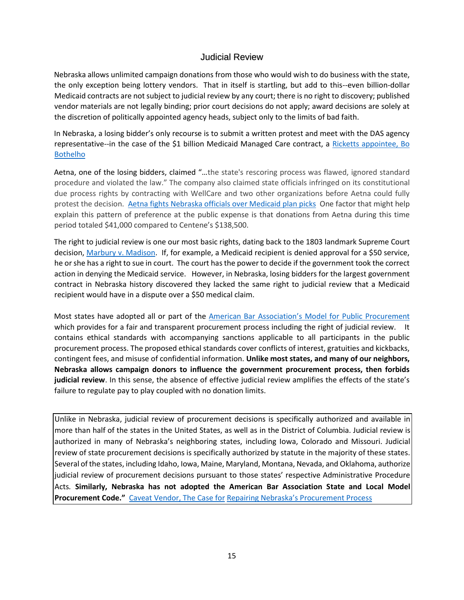## Judicial Review

Nebraska allows unlimited campaign donations from those who would wish to do business with the state, the only exception being lottery vendors. That in itself is startling, but add to this--even billion-dollar Medicaid contracts are not subject to judicial review by any court; there is no right to discovery; published vendor materials are not legally binding; prior court decisions do not apply; award decisions are solely at the discretion of politically appointed agency heads, subject only to the limits of bad faith.

In Nebraska, a losing bidder's only recourse is to submit a written protest and meet with the DAS agency representative--in the case of the \$1 billion Medicaid Managed Care contract, a [Ricketts appointee, Bo](https://beatricedailysun.com/opinion/columnists/ricketts-takes-steps-to-cut-red-tape/article_baef8372-5ddd-5380-8791-bab088263161.html) [Bothelho](https://beatricedailysun.com/opinion/columnists/ricketts-takes-steps-to-cut-red-tape/article_baef8372-5ddd-5380-8791-bab088263161.html)

Aetna, one of the losing bidders, claimed "…the state's rescoring process was flawed, ignored standard procedure and violated the law." The company also claimed state officials infringed on its constitutional due process rights by contracting with WellCare and two other organizations before Aetna could fully protest the decision. [Aetna fights Nebraska officials over Medicaid plan picks](https://journalstar.com/news/state-and-regional/govt-and-politics/aetna-fights-nebraska-officials-over-medicaid-plan-picks/article_4353df13-3d97-591f-9661-84c88021846f.html) One factor that might help explain this pattern of preference at the public expense is that donations from Aetna during this time period totaled \$41,000 compared to Centene's \$138,500.

The right to judicial review is one our most basic rights, dating back to the 1803 landmark Supreme Court decisio[n, Marbury v. Madison.](https://www.britannica.com/event/Marbury-v-Madison) If, for example, a Medicaid recipient is denied approval for a \$50 service, he or she has a right to sue in court. The court has the power to decide if the government took the correct action in denying the Medicaid service. However, in Nebraska, losing bidders for the largest government contract in Nebraska history discovered they lacked the same right to judicial review that a Medicaid recipient would have in a dispute over a \$50 medical claim.

Most states have adopted all or part of the [American Bar Association's Model for Public Procur](http://apps.americanbar.org/abastore/products/books/abstracts/5390260overview_abs.pdf)[ement](http://apps.americanbar.org/abastore/products/books/abstracts/5390260overview_abs.pdf) which provides for a fair and transparent procurement process including the right of judicial review. It contains ethical standards with accompanying sanctions applicable to all participants in the public procurement process. The proposed ethical standards cover conflicts of interest, gratuities and kickbacks, contingent fees, and misuse of confidential information. **Unlike most states, and many of our neighbors, Nebraska allows campaign donors to influence the government procurement process, then forbids judicial review**. In this sense, the absence of effective judicial review amplifies the effects of the state's failure to regulate pay to play coupled with no donation limits.

Unlike in Nebraska, judicial review of procurement decisions is specifically authorized and available in more than half of the states in the United States, as well as in the District of Columbia. Judicial review is authorized in many of Nebraska's neighboring states, including Iowa, Colorado and Missouri. Judicial review of state procurement decisions is specifically authorized by statute in the majority of these states. Several of the states, including Idaho, Iowa, Maine, Maryland, Montana, Nevada, and Oklahoma, authorize judicial review of procurement decisions pursuant to those states' respective Administrative Procedure Acts*.* **Similarly, Nebraska has not adopted the American Bar Association State and Local Model Procurement Code."** [Caveat Vendor, The Case for](https://www.kutakrock.com/files/Uploads/Images/NebraskaLawyercaveatvendor.pdf) [Repairing Nebraska's Procurement Process](https://www.kutakrock.com/files/Uploads/Images/NebraskaLawyercaveatvendor.pdf)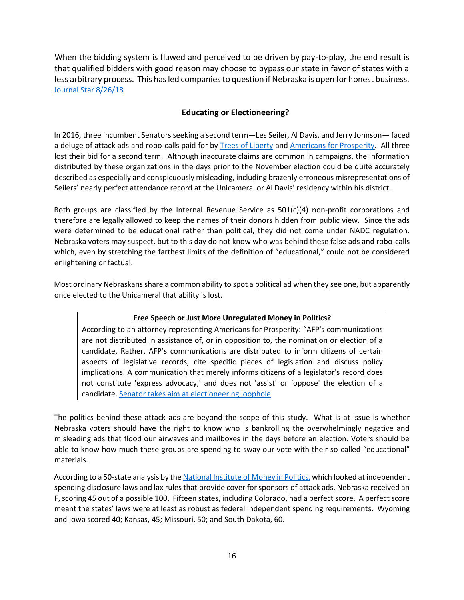When the bidding system is flawed and perceived to be driven by pay-to-play, the end result is that qualified bidders with good reason may choose to bypass our state in favor of states with a less arbitrary process. This has led companies to question if Nebraska is open for honest business. [Journal Star 8/26/18](https://journalstar.com/news/state-and-regional/govt-and-politics/is-nebraska-open-for-business-companies-say-state-s-bidding/article_a9562ab4-5960-5bc5-a64b-27dcb520da27.html)

# **Educating or Electioneering?**

In 2016, three incumbent Senators seeking a second term—Les Seiler, Al Davis, and Jerry Johnson— faced a deluge of attack ads and robo-calls paid for b[y](http://conservativetransparency.org/org/trees-of-liberty/) [Trees of Liberty](http://conservativetransparency.org/org/trees-of-liberty/) an[d Americans for Prosperity.](http://conservativetransparency.org/org/americans-for-prosperity/) All three lost their bid for a second term. Although inaccurate claims are common in campaigns, the information distributed by these organizations in the days prior to the November election could be quite accurately described as especially and conspicuously misleading, including brazenly erroneous misrepresentations of Seilers' nearly perfect attendance record at the Unicameral or Al Davis' residency within his district.

Both groups are classified by the Internal Revenue Service as  $501(c)(4)$  non-profit corporations and therefore are legally allowed to keep the names of their donors hidden from public view. Since the ads were determined to be educational rather than political, they did not come under NADC regulation. Nebraska voters may suspect, but to this day do not know who was behind these false ads and robo-calls which, even by stretching the farthest limits of the definition of "educational," could not be considered enlightening or factual.

Most ordinary Nebraskans share a common ability to spot a political ad when they see one, but apparently once elected to the Unicameral that ability is lost.

## **Free Speech or Just More Unregulated Money in Politics?**

According to an attorney representing Americans for Prosperity: "AFP's communications are not distributed in assistance of, or in opposition to, the nomination or election of a candidate, Rather, AFP's communications are distributed to inform citizens of certain aspects of legislative records, cite specific pieces of legislation and discuss policy implications. A communication that merely informs citizens of a legislator's record does not constitute 'express advocacy,' and does not 'assist' or 'oppose' the election of a candidate. [Senator takes aim at electioneering loophole](https://journalstar.com/legislature/senator-takes-aim-at-electioneering-loophole/article_2ea3a7ec-89a6-56c8-a9f0-599bcfb6be17.html) 

The politics behind these attack ads are beyond the scope of this study. What is at issue is whether Nebraska voters should have the right to know who is bankrolling the overwhelmingly negative and misleading ads that flood our airwaves and mailboxes in the days before an election. Voters should be able to know how much these groups are spending to sway our vote with their so-called "educational" materials.

According to a 50-state analysis by th[e National Institute of Money in Politics,](https://publicintegrity.org/federal-politics/lax-state-rules-provide-cover-for-sponsors-of-attack-ads/) which looked at independent spending disclosure laws and lax rules that provide cover for sponsors of attack ads, Nebraska received an F, scoring 45 out of a possible 100. Fifteen states, including Colorado, had a perfect score. A perfect score meant the states' laws were at least as robust as federal independent spending requirements. Wyoming and Iowa scored 40; Kansas, 45; Missouri, 50; and South Dakota, 60.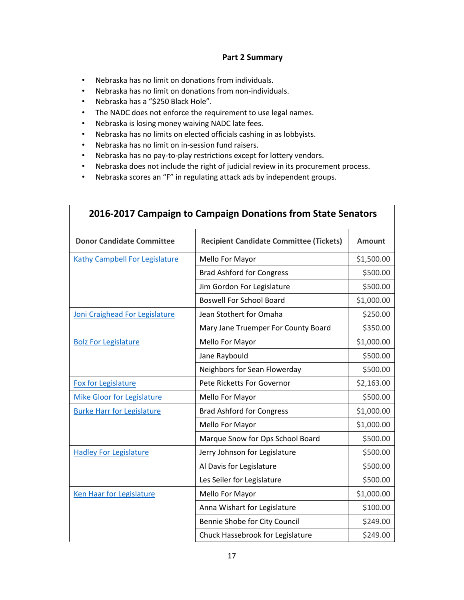#### **Part 2 Summary**

- Nebraska has no limit on donations from individuals.
- Nebraska has no limit on donations from non-individuals.
- Nebraska has a "\$250 Black Hole".
- The NADC does not enforce the requirement to use legal names.
- Nebraska is losing money waiving NADC late fees.
- Nebraska has no limits on elected officials cashing in as lobbyists.
- Nebraska has no limit on in-session fund raisers.
- Nebraska has no pay-to-play restrictions except for lottery vendors.
- Nebraska does not include the right of judicial review in its procurement process.
- Nebraska scores an "F" in regulating attack ads by independent groups.

| 2016-2017 Campaign to Campaign Donations from State Senators |                                                |               |  |
|--------------------------------------------------------------|------------------------------------------------|---------------|--|
| <b>Donor Candidate Committee</b>                             | <b>Recipient Candidate Committee (Tickets)</b> | <b>Amount</b> |  |
| Kathy Campbell For Legislature                               | Mello For Mayor                                | \$1,500.00    |  |
|                                                              | <b>Brad Ashford for Congress</b>               | \$500.00      |  |
|                                                              | Jim Gordon For Legislature                     | \$500.00      |  |
|                                                              | <b>Boswell For School Board</b>                | \$1,000.00    |  |
| Joni Craighead For Legislature                               | Jean Stothert for Omaha                        | \$250.00      |  |
|                                                              | Mary Jane Truemper For County Board            | \$350.00      |  |
| <b>Bolz For Legislature</b>                                  | Mello For Mayor                                | \$1,000.00    |  |
|                                                              | Jane Raybould                                  | \$500.00      |  |
|                                                              | Neighbors for Sean Flowerday                   | \$500.00      |  |
| Fox for Legislature                                          | Pete Ricketts For Governor                     | \$2,163.00    |  |
| <b>Mike Gloor for Legislature</b>                            | Mello For Mayor                                | \$500.00      |  |
| <b>Burke Harr for Legislature</b>                            | <b>Brad Ashford for Congress</b>               | \$1,000.00    |  |
|                                                              | Mello For Mayor                                | \$1,000.00    |  |
|                                                              | Marque Snow for Ops School Board               | \$500.00      |  |
| <b>Hadley For Legislature</b>                                | Jerry Johnson for Legislature                  | \$500.00      |  |
|                                                              | Al Davis for Legislature                       | \$500.00      |  |
|                                                              | Les Seiler for Legislature                     | \$500.00      |  |
| <b>Ken Haar for Legislature</b>                              | Mello For Mayor                                | \$1,000.00    |  |
|                                                              | Anna Wishart for Legislature                   | \$100.00      |  |
|                                                              | Bennie Shobe for City Council                  | \$249.00      |  |
|                                                              | Chuck Hassebrook for Legislature               | \$249.00      |  |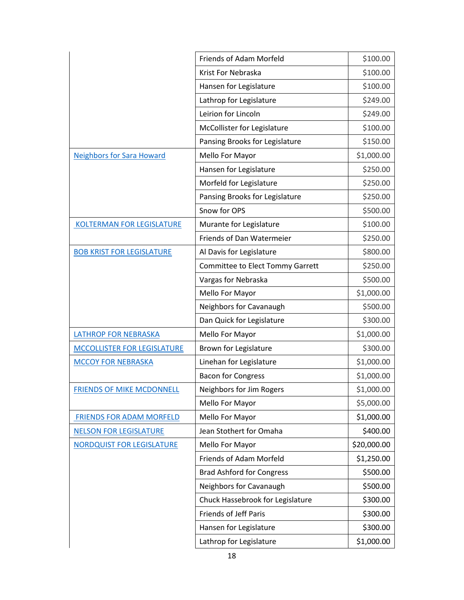|                                    | Friends of Adam Morfeld          | \$100.00    |
|------------------------------------|----------------------------------|-------------|
|                                    | Krist For Nebraska               | \$100.00    |
|                                    | Hansen for Legislature           | \$100.00    |
|                                    | Lathrop for Legislature          | \$249.00    |
|                                    | Leirion for Lincoln              | \$249.00    |
|                                    | McCollister for Legislature      | \$100.00    |
|                                    | Pansing Brooks for Legislature   | \$150.00    |
| <b>Neighbors for Sara Howard</b>   | Mello For Mayor                  | \$1,000.00  |
|                                    | Hansen for Legislature           | \$250.00    |
|                                    | Morfeld for Legislature          | \$250.00    |
|                                    | Pansing Brooks for Legislature   | \$250.00    |
|                                    | Snow for OPS                     | \$500.00    |
| <b>KOLTERMAN FOR LEGISLATURE</b>   | Murante for Legislature          | \$100.00    |
|                                    | Friends of Dan Watermeier        | \$250.00    |
| <b>BOB KRIST FOR LEGISLATURE</b>   | Al Davis for Legislature         | \$800.00    |
|                                    | Committee to Elect Tommy Garrett | \$250.00    |
|                                    | Vargas for Nebraska              | \$500.00    |
|                                    | Mello For Mayor                  | \$1,000.00  |
|                                    | Neighbors for Cavanaugh          | \$500.00    |
|                                    | Dan Quick for Legislature        | \$300.00    |
| <b>LATHROP FOR NEBRASKA</b>        | Mello For Mayor                  | \$1,000.00  |
| <b>MCCOLLISTER FOR LEGISLATURE</b> | Brown for Legislature            | \$300.00    |
| <b>MCCOY FOR NEBRASKA</b>          | Linehan for Legislature          | \$1,000.00  |
|                                    | <b>Bacon for Congress</b>        | \$1,000.00  |
| <b>FRIENDS OF MIKE MCDONNELL</b>   | Neighbors for Jim Rogers         | \$1,000.00  |
|                                    | Mello For Mayor                  | \$5,000.00  |
| <b>FRIENDS FOR ADAM MORFELD</b>    | Mello For Mayor                  | \$1,000.00  |
| <b>NELSON FOR LEGISLATURE</b>      | Jean Stothert for Omaha          | \$400.00    |
| <b>NORDQUIST FOR LEGISLATURE</b>   | Mello For Mayor                  | \$20,000.00 |
|                                    | Friends of Adam Morfeld          | \$1,250.00  |
|                                    | <b>Brad Ashford for Congress</b> | \$500.00    |
|                                    | Neighbors for Cavanaugh          | \$500.00    |
|                                    | Chuck Hassebrook for Legislature | \$300.00    |
|                                    | Friends of Jeff Paris            | \$300.00    |
|                                    | Hansen for Legislature           | \$300.00    |
|                                    | Lathrop for Legislature          | \$1,000.00  |